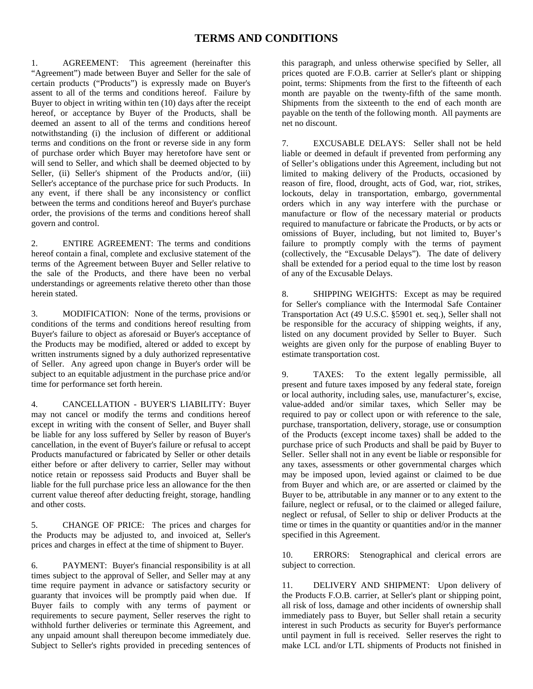## **TERMS AND CONDITIONS**

1. AGREEMENT: This agreement (hereinafter this "Agreement") made between Buyer and Seller for the sale of certain products ("Products") is expressly made on Buyer's assent to all of the terms and conditions hereof. Failure by Buyer to object in writing within ten (10) days after the receipt hereof, or acceptance by Buyer of the Products, shall be deemed an assent to all of the terms and conditions hereof notwithstanding (i) the inclusion of different or additional terms and conditions on the front or reverse side in any form of purchase order which Buyer may heretofore have sent or will send to Seller, and which shall be deemed objected to by Seller, (ii) Seller's shipment of the Products and/or, (iii) Seller's acceptance of the purchase price for such Products. In any event, if there shall be any inconsistency or conflict between the terms and conditions hereof and Buyer's purchase order, the provisions of the terms and conditions hereof shall govern and control.

2. ENTIRE AGREEMENT: The terms and conditions hereof contain a final, complete and exclusive statement of the terms of the Agreement between Buyer and Seller relative to the sale of the Products, and there have been no verbal understandings or agreements relative thereto other than those herein stated.

3. MODIFICATION: None of the terms, provisions or conditions of the terms and conditions hereof resulting from Buyer's failure to object as aforesaid or Buyer's acceptance of the Products may be modified, altered or added to except by written instruments signed by a duly authorized representative of Seller. Any agreed upon change in Buyer's order will be subject to an equitable adjustment in the purchase price and/or time for performance set forth herein.

4. CANCELLATION - BUYER'S LIABILITY: Buyer may not cancel or modify the terms and conditions hereof except in writing with the consent of Seller, and Buyer shall be liable for any loss suffered by Seller by reason of Buyer's cancellation, in the event of Buyer's failure or refusal to accept Products manufactured or fabricated by Seller or other details either before or after delivery to carrier, Seller may without notice retain or repossess said Products and Buyer shall be liable for the full purchase price less an allowance for the then current value thereof after deducting freight, storage, handling and other costs.

5. CHANGE OF PRICE: The prices and charges for the Products may be adjusted to, and invoiced at, Seller's prices and charges in effect at the time of shipment to Buyer.

6. PAYMENT: Buyer's financial responsibility is at all times subject to the approval of Seller, and Seller may at any time require payment in advance or satisfactory security or guaranty that invoices will be promptly paid when due. If Buyer fails to comply with any terms of payment or requirements to secure payment, Seller reserves the right to withhold further deliveries or terminate this Agreement, and any unpaid amount shall thereupon become immediately due. Subject to Seller's rights provided in preceding sentences of

this paragraph, and unless otherwise specified by Seller, all prices quoted are F.O.B. carrier at Seller's plant or shipping point, terms: Shipments from the first to the fifteenth of each month are payable on the twenty-fifth of the same month. Shipments from the sixteenth to the end of each month are payable on the tenth of the following month. All payments are net no discount.

7. EXCUSABLE DELAYS: Seller shall not be held liable or deemed in default if prevented from performing any of Seller's obligations under this Agreement, including but not limited to making delivery of the Products, occasioned by reason of fire, flood, drought, acts of God, war, riot, strikes, lockouts, delay in transportation, embargo, governmental orders which in any way interfere with the purchase or manufacture or flow of the necessary material or products required to manufacture or fabricate the Products, or by acts or omissions of Buyer, including, but not limited to, Buyer's failure to promptly comply with the terms of payment (collectively, the "Excusable Delays"). The date of delivery shall be extended for a period equal to the time lost by reason of any of the Excusable Delays.

8. SHIPPING WEIGHTS: Except as may be required for Seller's compliance with the Intermodal Safe Container Transportation Act (49 U.S.C. §5901 et. seq.), Seller shall not be responsible for the accuracy of shipping weights, if any, listed on any document provided by Seller to Buyer. Such weights are given only for the purpose of enabling Buyer to estimate transportation cost.

9. TAXES: To the extent legally permissible, all present and future taxes imposed by any federal state, foreign or local authority, including sales, use, manufacturer's, excise, value-added and/or similar taxes, which Seller may be required to pay or collect upon or with reference to the sale, purchase, transportation, delivery, storage, use or consumption of the Products (except income taxes) shall be added to the purchase price of such Products and shall be paid by Buyer to Seller. Seller shall not in any event be liable or responsible for any taxes, assessments or other governmental charges which may be imposed upon, levied against or claimed to be due from Buyer and which are, or are asserted or claimed by the Buyer to be, attributable in any manner or to any extent to the failure, neglect or refusal, or to the claimed or alleged failure, neglect or refusal, of Seller to ship or deliver Products at the time or times in the quantity or quantities and/or in the manner specified in this Agreement.

10. ERRORS: Stenographical and clerical errors are subject to correction.

11. DELIVERY AND SHIPMENT: Upon delivery of the Products F.O.B. carrier, at Seller's plant or shipping point, all risk of loss, damage and other incidents of ownership shall immediately pass to Buyer, but Seller shall retain a security interest in such Products as security for Buyer's performance until payment in full is received. Seller reserves the right to make LCL and/or LTL shipments of Products not finished in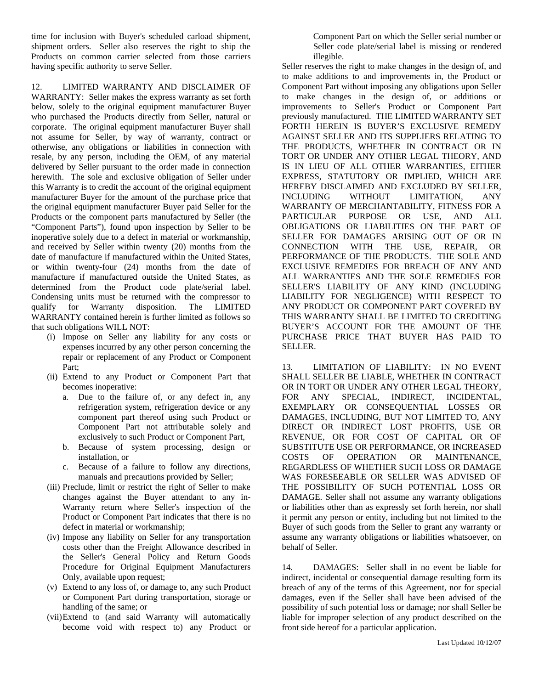time for inclusion with Buyer's scheduled carload shipment, shipment orders. Seller also reserves the right to ship the Products on common carrier selected from those carriers having specific authority to serve Seller.

12. LIMITED WARRANTY AND DISCLAIMER OF WARRANTY: Seller makes the express warranty as set forth below, solely to the original equipment manufacturer Buyer who purchased the Products directly from Seller, natural or corporate. The original equipment manufacturer Buyer shall not assume for Seller, by way of warranty, contract or otherwise, any obligations or liabilities in connection with resale, by any person, including the OEM, of any material delivered by Seller pursuant to the order made in connection herewith. The sole and exclusive obligation of Seller under this Warranty is to credit the account of the original equipment manufacturer Buyer for the amount of the purchase price that the original equipment manufacturer Buyer paid Seller for the Products or the component parts manufactured by Seller (the "Component Parts"), found upon inspection by Seller to be inoperative solely due to a defect in material or workmanship, and received by Seller within twenty (20) months from the date of manufacture if manufactured within the United States, or within twenty-four (24) months from the date of manufacture if manufactured outside the United States, as determined from the Product code plate/serial label. Condensing units must be returned with the compressor to qualify for Warranty disposition. The LIMITED WARRANTY contained herein is further limited as follows so that such obligations WILL NOT:

- (i) Impose on Seller any liability for any costs or expenses incurred by any other person concerning the repair or replacement of any Product or Component Part;
- (ii) Extend to any Product or Component Part that becomes inoperative:
	- a. Due to the failure of, or any defect in, any refrigeration system, refrigeration device or any component part thereof using such Product or Component Part not attributable solely and exclusively to such Product or Component Part,
	- b. Because of system processing, design or installation, or
	- c. Because of a failure to follow any directions, manuals and precautions provided by Seller;
- (iii) Preclude, limit or restrict the right of Seller to make changes against the Buyer attendant to any in-Warranty return where Seller's inspection of the Product or Component Part indicates that there is no defect in material or workmanship;
- (iv) Impose any liability on Seller for any transportation costs other than the Freight Allowance described in the Seller's General Policy and Return Goods Procedure for Original Equipment Manufacturers Only, available upon request;
- (v) Extend to any loss of, or damage to, any such Product or Component Part during transportation, storage or handling of the same; or
- (vii) Extend to (and said Warranty will automatically become void with respect to) any Product or

Component Part on which the Seller serial number or Seller code plate/serial label is missing or rendered illegible.

Seller reserves the right to make changes in the design of, and to make additions to and improvements in, the Product or Component Part without imposing any obligations upon Seller to make changes in the design of, or additions or improvements to Seller's Product or Component Part previously manufactured. THE LIMITED WARRANTY SET FORTH HEREIN IS BUYER'S EXCLUSIVE REMEDY AGAINST SELLER AND ITS SUPPLIERS RELATING TO THE PRODUCTS, WHETHER IN CONTRACT OR IN TORT OR UNDER ANY OTHER LEGAL THEORY, AND IS IN LIEU OF ALL OTHER WARRANTIES, EITHER EXPRESS, STATUTORY OR IMPLIED, WHICH ARE HEREBY DISCLAIMED AND EXCLUDED BY SELLER, INCLUDING WITHOUT LIMITATION, ANY WARRANTY OF MERCHANTABILITY, FITNESS FOR A PARTICULAR PURPOSE OR USE, AND ALL OBLIGATIONS OR LIABILITIES ON THE PART OF SELLER FOR DAMAGES ARISING OUT OF OR IN CONNECTION WITH THE USE, REPAIR, OR PERFORMANCE OF THE PRODUCTS. THE SOLE AND EXCLUSIVE REMEDIES FOR BREACH OF ANY AND ALL WARRANTIES AND THE SOLE REMEDIES FOR SELLER'S LIABILITY OF ANY KIND (INCLUDING LIABILITY FOR NEGLIGENCE) WITH RESPECT TO ANY PRODUCT OR COMPONENT PART COVERED BY THIS WARRANTY SHALL BE LIMITED TO CREDITING BUYER'S ACCOUNT FOR THE AMOUNT OF THE PURCHASE PRICE THAT BUYER HAS PAID TO SELLER.

13. LIMITATION OF LIABILITY: IN NO EVENT SHALL SELLER BE LIABLE, WHETHER IN CONTRACT OR IN TORT OR UNDER ANY OTHER LEGAL THEORY, FOR ANY SPECIAL, INDIRECT, INCIDENTAL, EXEMPLARY OR CONSEQUENTIAL LOSSES OR DAMAGES, INCLUDING, BUT NOT LIMITED TO, ANY DIRECT OR INDIRECT LOST PROFITS, USE OR REVENUE, OR FOR COST OF CAPITAL OR OF SUBSTITUTE USE OR PERFORMANCE, OR INCREASED COSTS OF OPERATION OR MAINTENANCE, REGARDLESS OF WHETHER SUCH LOSS OR DAMAGE WAS FORESEEABLE OR SELLER WAS ADVISED OF THE POSSIBILITY OF SUCH POTENTIAL LOSS OR DAMAGE. Seller shall not assume any warranty obligations or liabilities other than as expressly set forth herein, nor shall it permit any person or entity, including but not limited to the Buyer of such goods from the Seller to grant any warranty or assume any warranty obligations or liabilities whatsoever, on behalf of Seller.

14. DAMAGES: Seller shall in no event be liable for indirect, incidental or consequential damage resulting form its breach of any of the terms of this Agreement, nor for special damages, even if the Seller shall have been advised of the possibility of such potential loss or damage; nor shall Seller be liable for improper selection of any product described on the front side hereof for a particular application.